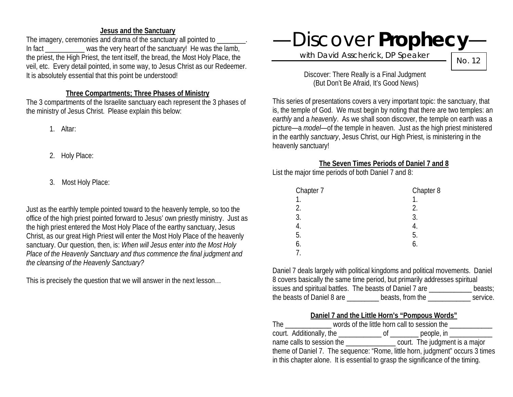### **Jesus and the Sanctuary**

The imagery, ceremonies and drama of the sanctuary all pointed to In fact was the very heart of the sanctuary! He was the lamb, the priest, the High Priest, the tent itself, the bread, the Most Holy Place, the veil, etc. Every detail pointed, in some way, to Jesus Christ as our Redeemer. It is absolutely essential that this point be understood!

#### **Three Compartments; Three Phases of Ministry**

The 3 compartments of the Israelite sanctuary each represent the 3 phases of the ministry of Jesus Christ. Please explain this below:

1. Altar:

- 2. Holy Place:
- 3. Most Holy Place:

Just as the earthly temple pointed toward to the heavenly temple, so too the office of the high priest pointed forward to Jesus' own priestly ministry. Just as the high priest entered the Most Holy Place of the earthy sanctuary, Jesus Christ, as our great High Priest will enter the Most Holy Place of the heavenly sanctuary. Our question, then, is: *When will Jesus enter into the Most Holy Place of the Heavenly Sanctuary and thus commence the final judgment and the cleansing of the Heavenly Sanctuary?*

This is precisely the question that we will answer in the next lesson…

# —Discover **Prophecy**—

with David Asscherick, DP Speaker

No. 12

Discover: There Really is a Final Judgment (But Don't Be Afraid, It's Good News)

This series of presentations covers a very important topic: the sanctuary, that is, the temple of God. We must begin by noting that there are two temples: an *earthly* and a *heavenly*. As we shall soon discover, the temple on earth was a picture—a *model*—of the temple in heaven. Just as the high priest ministered in the earthly *sanctuary*, Jesus Christ, our High Priest, is ministering in the heavenly sanctuary!

# **The Seven Times Periods of Daniel 7 and 8**

List the major time periods of both Daniel 7 and 8:

| Chapter 7 | Chapter 8 |
|-----------|-----------|
| 1.        |           |
| 2.        | 2.        |
| 3.        | 3.        |
| 4.        |           |
| 5.        | 5.        |
| 6.        | 6.        |
|           |           |
|           |           |

Daniel 7 deals largely with political kingdoms and political movements. Daniel 8 covers basically the same time period, but primarily addresses spiritual issues and spiritual battles. The beasts of Daniel 7 are \_\_\_\_\_\_\_\_\_\_\_\_ beasts; the beasts of Daniel 8 are \_\_\_\_\_\_\_\_\_ beasts, from the \_\_\_\_\_\_\_\_\_\_\_\_ service.

# **Daniel 7 and the Little Horn's "Pompous Words"**

| <b>The</b>                                                                      | words of the little horn call to session the |  |  |
|---------------------------------------------------------------------------------|----------------------------------------------|--|--|
| court. Additionally, the _______________ of _______                             | people, in _____________                     |  |  |
| name calls to session the                                                       | court. The judgment is a major               |  |  |
| theme of Daniel 7. The sequence: "Rome, little horn, judgment" occurs 3 times   |                                              |  |  |
| in this chapter alone. It is essential to grasp the significance of the timing. |                                              |  |  |